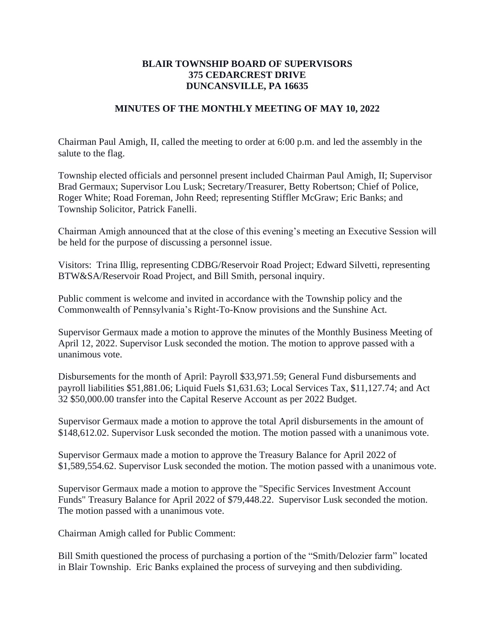## **BLAIR TOWNSHIP BOARD OF SUPERVISORS 375 CEDARCREST DRIVE DUNCANSVILLE, PA 16635**

## **MINUTES OF THE MONTHLY MEETING OF MAY 10, 2022**

Chairman Paul Amigh, II, called the meeting to order at 6:00 p.m. and led the assembly in the salute to the flag.

Township elected officials and personnel present included Chairman Paul Amigh, II; Supervisor Brad Germaux; Supervisor Lou Lusk; Secretary/Treasurer, Betty Robertson; Chief of Police, Roger White; Road Foreman, John Reed; representing Stiffler McGraw; Eric Banks; and Township Solicitor, Patrick Fanelli.

Chairman Amigh announced that at the close of this evening's meeting an Executive Session will be held for the purpose of discussing a personnel issue.

Visitors: Trina Illig, representing CDBG/Reservoir Road Project; Edward Silvetti, representing BTW&SA/Reservoir Road Project, and Bill Smith, personal inquiry.

Public comment is welcome and invited in accordance with the Township policy and the Commonwealth of Pennsylvania's Right-To-Know provisions and the Sunshine Act.

Supervisor Germaux made a motion to approve the minutes of the Monthly Business Meeting of April 12, 2022. Supervisor Lusk seconded the motion. The motion to approve passed with a unanimous vote.

Disbursements for the month of April: Payroll \$33,971.59; General Fund disbursements and payroll liabilities \$51,881.06; Liquid Fuels \$1,631.63; Local Services Tax, \$11,127.74; and Act 32 \$50,000.00 transfer into the Capital Reserve Account as per 2022 Budget.

Supervisor Germaux made a motion to approve the total April disbursements in the amount of \$148,612.02. Supervisor Lusk seconded the motion. The motion passed with a unanimous vote.

Supervisor Germaux made a motion to approve the Treasury Balance for April 2022 of \$1,589,554.62. Supervisor Lusk seconded the motion. The motion passed with a unanimous vote.

Supervisor Germaux made a motion to approve the "Specific Services Investment Account Funds" Treasury Balance for April 2022 of \$79,448.22. Supervisor Lusk seconded the motion. The motion passed with a unanimous vote.

Chairman Amigh called for Public Comment:

Bill Smith questioned the process of purchasing a portion of the "Smith/Delozier farm" located in Blair Township. Eric Banks explained the process of surveying and then subdividing.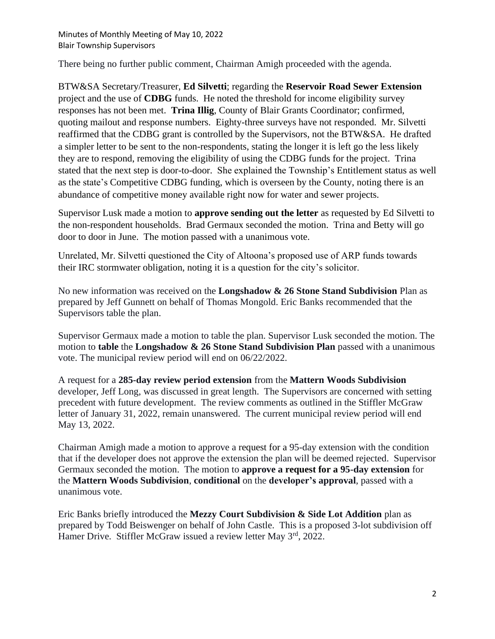There being no further public comment, Chairman Amigh proceeded with the agenda.

BTW&SA Secretary/Treasurer, **Ed Silvetti**; regarding the **Reservoir Road Sewer Extension** project and the use of **CDBG** funds. He noted the threshold for income eligibility survey responses has not been met. **Trina Illig**, County of Blair Grants Coordinator; confirmed, quoting mailout and response numbers. Eighty-three surveys have not responded. Mr. Silvetti reaffirmed that the CDBG grant is controlled by the Supervisors, not the BTW&SA. He drafted a simpler letter to be sent to the non-respondents, stating the longer it is left go the less likely they are to respond, removing the eligibility of using the CDBG funds for the project. Trina stated that the next step is door-to-door. She explained the Township's Entitlement status as well as the state's Competitive CDBG funding, which is overseen by the County, noting there is an abundance of competitive money available right now for water and sewer projects.

Supervisor Lusk made a motion to **approve sending out the letter** as requested by Ed Silvetti to the non-respondent households. Brad Germaux seconded the motion. Trina and Betty will go door to door in June. The motion passed with a unanimous vote.

Unrelated, Mr. Silvetti questioned the City of Altoona's proposed use of ARP funds towards their IRC stormwater obligation, noting it is a question for the city's solicitor.

No new information was received on the **Longshadow & 26 Stone Stand Subdivision** Plan as prepared by Jeff Gunnett on behalf of Thomas Mongold. Eric Banks recommended that the Supervisors table the plan.

Supervisor Germaux made a motion to table the plan. Supervisor Lusk seconded the motion. The motion to **table** the **Longshadow & 26 Stone Stand Subdivision Plan** passed with a unanimous vote. The municipal review period will end on 06/22/2022.

A request for a **285-day review period extension** from the **Mattern Woods Subdivision**  developer, Jeff Long, was discussed in great length. The Supervisors are concerned with setting precedent with future development. The review comments as outlined in the Stiffler McGraw letter of January 31, 2022, remain unanswered. The current municipal review period will end May 13, 2022.

Chairman Amigh made a motion to approve a request for a 95-day extension with the condition that if the developer does not approve the extension the plan will be deemed rejected. Supervisor Germaux seconded the motion. The motion to **approve a request for a 95-day extension** for the **Mattern Woods Subdivision**, **conditional** on the **developer's approval**, passed with a unanimous vote.

Eric Banks briefly introduced the **Mezzy Court Subdivision & Side Lot Addition** plan as prepared by Todd Beiswenger on behalf of John Castle. This is a proposed 3-lot subdivision off Hamer Drive. Stiffler McGraw issued a review letter May 3<sup>rd</sup>, 2022.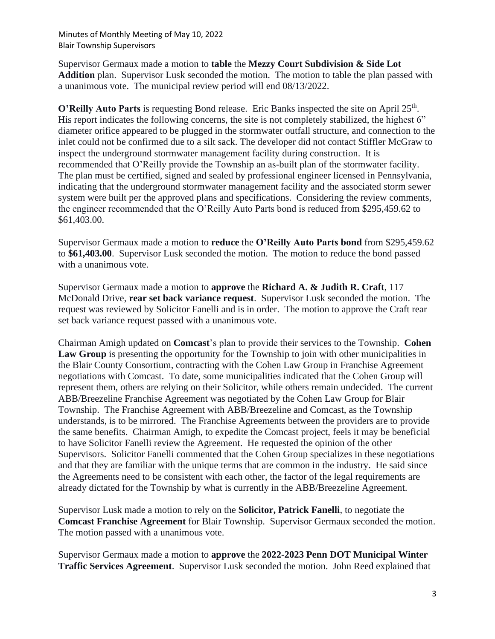Supervisor Germaux made a motion to **table** the **Mezzy Court Subdivision & Side Lot Addition** plan. Supervisor Lusk seconded the motion. The motion to table the plan passed with a unanimous vote. The municipal review period will end 08/13/2022.

O'Reilly Auto Parts is requesting Bond release. Eric Banks inspected the site on April 25<sup>th</sup>. His report indicates the following concerns, the site is not completely stabilized, the highest 6" diameter orifice appeared to be plugged in the stormwater outfall structure, and connection to the inlet could not be confirmed due to a silt sack. The developer did not contact Stiffler McGraw to inspect the underground stormwater management facility during construction. It is recommended that O'Reilly provide the Township an as-built plan of the stormwater facility. The plan must be certified, signed and sealed by professional engineer licensed in Pennsylvania, indicating that the underground stormwater management facility and the associated storm sewer system were built per the approved plans and specifications. Considering the review comments, the engineer recommended that the O'Reilly Auto Parts bond is reduced from \$295,459.62 to \$61,403.00.

Supervisor Germaux made a motion to **reduce** the **O'Reilly Auto Parts bond** from \$295,459.62 to **\$61,403.00**. Supervisor Lusk seconded the motion. The motion to reduce the bond passed with a unanimous vote.

Supervisor Germaux made a motion to **approve** the **Richard A. & Judith R. Craft**, 117 McDonald Drive, **rear set back variance request**. Supervisor Lusk seconded the motion. The request was reviewed by Solicitor Fanelli and is in order. The motion to approve the Craft rear set back variance request passed with a unanimous vote.

Chairman Amigh updated on **Comcast**'s plan to provide their services to the Township. **Cohen**  Law Group is presenting the opportunity for the Township to join with other municipalities in the Blair County Consortium, contracting with the Cohen Law Group in Franchise Agreement negotiations with Comcast. To date, some municipalities indicated that the Cohen Group will represent them, others are relying on their Solicitor, while others remain undecided. The current ABB/Breezeline Franchise Agreement was negotiated by the Cohen Law Group for Blair Township. The Franchise Agreement with ABB/Breezeline and Comcast, as the Township understands, is to be mirrored. The Franchise Agreements between the providers are to provide the same benefits. Chairman Amigh, to expedite the Comcast project, feels it may be beneficial to have Solicitor Fanelli review the Agreement. He requested the opinion of the other Supervisors. Solicitor Fanelli commented that the Cohen Group specializes in these negotiations and that they are familiar with the unique terms that are common in the industry. He said since the Agreements need to be consistent with each other, the factor of the legal requirements are already dictated for the Township by what is currently in the ABB/Breezeline Agreement.

Supervisor Lusk made a motion to rely on the **Solicitor, Patrick Fanelli**, to negotiate the **Comcast Franchise Agreement** for Blair Township. Supervisor Germaux seconded the motion. The motion passed with a unanimous vote.

Supervisor Germaux made a motion to **approve** the **2022-2023 Penn DOT Municipal Winter Traffic Services Agreement**. Supervisor Lusk seconded the motion. John Reed explained that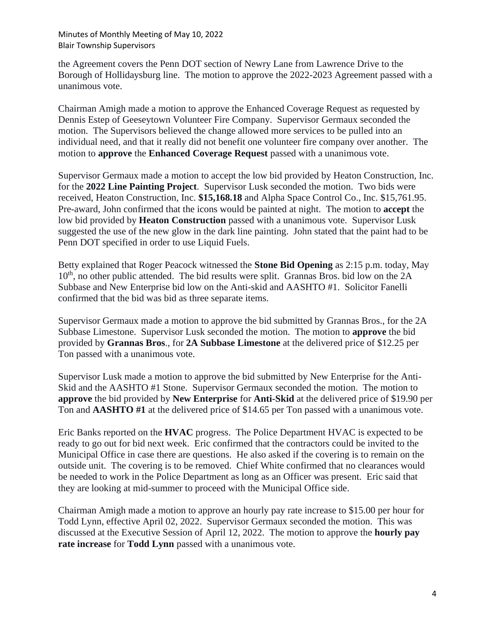the Agreement covers the Penn DOT section of Newry Lane from Lawrence Drive to the Borough of Hollidaysburg line. The motion to approve the 2022-2023 Agreement passed with a unanimous vote.

Chairman Amigh made a motion to approve the Enhanced Coverage Request as requested by Dennis Estep of Geeseytown Volunteer Fire Company. Supervisor Germaux seconded the motion. The Supervisors believed the change allowed more services to be pulled into an individual need, and that it really did not benefit one volunteer fire company over another. The motion to **approve** the **Enhanced Coverage Request** passed with a unanimous vote.

Supervisor Germaux made a motion to accept the low bid provided by Heaton Construction, Inc. for the **2022 Line Painting Project**. Supervisor Lusk seconded the motion. Two bids were received, Heaton Construction, Inc. **\$15,168.18** and Alpha Space Control Co., Inc. \$15,761.95. Pre-award, John confirmed that the icons would be painted at night. The motion to **accept** the low bid provided by **Heaton Construction** passed with a unanimous vote. Supervisor Lusk suggested the use of the new glow in the dark line painting. John stated that the paint had to be Penn DOT specified in order to use Liquid Fuels.

Betty explained that Roger Peacock witnessed the **Stone Bid Opening** as 2:15 p.m. today, May  $10<sup>th</sup>$ , no other public attended. The bid results were split. Grannas Bros. bid low on the  $2A$ Subbase and New Enterprise bid low on the Anti-skid and AASHTO #1. Solicitor Fanelli confirmed that the bid was bid as three separate items.

Supervisor Germaux made a motion to approve the bid submitted by Grannas Bros., for the 2A Subbase Limestone. Supervisor Lusk seconded the motion. The motion to **approve** the bid provided by **Grannas Bros**., for **2A Subbase Limestone** at the delivered price of \$12.25 per Ton passed with a unanimous vote.

Supervisor Lusk made a motion to approve the bid submitted by New Enterprise for the Anti-Skid and the AASHTO #1 Stone. Supervisor Germaux seconded the motion. The motion to **approve** the bid provided by **New Enterprise** for **Anti-Skid** at the delivered price of \$19.90 per Ton and **AASHTO #1** at the delivered price of \$14.65 per Ton passed with a unanimous vote.

Eric Banks reported on the **HVAC** progress. The Police Department HVAC is expected to be ready to go out for bid next week. Eric confirmed that the contractors could be invited to the Municipal Office in case there are questions. He also asked if the covering is to remain on the outside unit. The covering is to be removed. Chief White confirmed that no clearances would be needed to work in the Police Department as long as an Officer was present. Eric said that they are looking at mid-summer to proceed with the Municipal Office side.

Chairman Amigh made a motion to approve an hourly pay rate increase to \$15.00 per hour for Todd Lynn, effective April 02, 2022. Supervisor Germaux seconded the motion. This was discussed at the Executive Session of April 12, 2022. The motion to approve the **hourly pay rate increase** for **Todd Lynn** passed with a unanimous vote.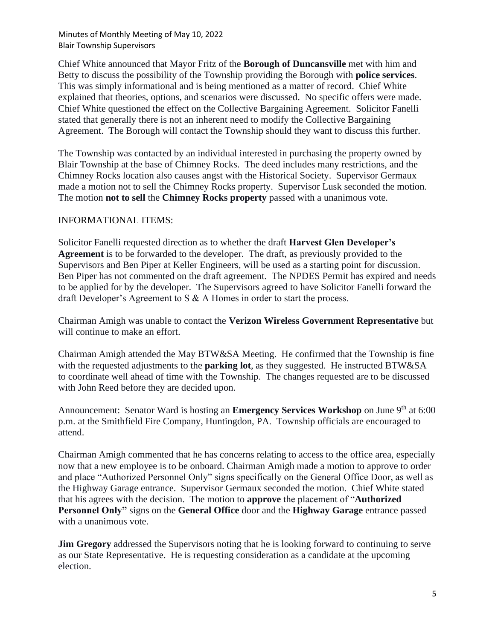Chief White announced that Mayor Fritz of the **Borough of Duncansville** met with him and Betty to discuss the possibility of the Township providing the Borough with **police services**. This was simply informational and is being mentioned as a matter of record. Chief White explained that theories, options, and scenarios were discussed. No specific offers were made. Chief White questioned the effect on the Collective Bargaining Agreement. Solicitor Fanelli stated that generally there is not an inherent need to modify the Collective Bargaining Agreement. The Borough will contact the Township should they want to discuss this further.

The Township was contacted by an individual interested in purchasing the property owned by Blair Township at the base of Chimney Rocks. The deed includes many restrictions, and the Chimney Rocks location also causes angst with the Historical Society. Supervisor Germaux made a motion not to sell the Chimney Rocks property. Supervisor Lusk seconded the motion. The motion **not to sell** the **Chimney Rocks property** passed with a unanimous vote.

## INFORMATIONAL ITEMS:

Solicitor Fanelli requested direction as to whether the draft **Harvest Glen Developer's Agreement** is to be forwarded to the developer. The draft, as previously provided to the Supervisors and Ben Piper at Keller Engineers, will be used as a starting point for discussion. Ben Piper has not commented on the draft agreement. The NPDES Permit has expired and needs to be applied for by the developer. The Supervisors agreed to have Solicitor Fanelli forward the draft Developer's Agreement to S & A Homes in order to start the process.

Chairman Amigh was unable to contact the **Verizon Wireless Government Representative** but will continue to make an effort.

Chairman Amigh attended the May BTW&SA Meeting. He confirmed that the Township is fine with the requested adjustments to the **parking lot**, as they suggested. He instructed BTW&SA to coordinate well ahead of time with the Township. The changes requested are to be discussed with John Reed before they are decided upon.

Announcement: Senator Ward is hosting an **Emergency Services Workshop** on June 9<sup>th</sup> at 6:00 p.m. at the Smithfield Fire Company, Huntingdon, PA. Township officials are encouraged to attend.

Chairman Amigh commented that he has concerns relating to access to the office area, especially now that a new employee is to be onboard. Chairman Amigh made a motion to approve to order and place "Authorized Personnel Only" signs specifically on the General Office Door, as well as the Highway Garage entrance. Supervisor Germaux seconded the motion. Chief White stated that his agrees with the decision. The motion to **approve** the placement of "**Authorized Personnel Only"** signs on the **General Office** door and the **Highway Garage** entrance passed with a unanimous vote.

**Jim Gregory** addressed the Supervisors noting that he is looking forward to continuing to serve as our State Representative. He is requesting consideration as a candidate at the upcoming election.